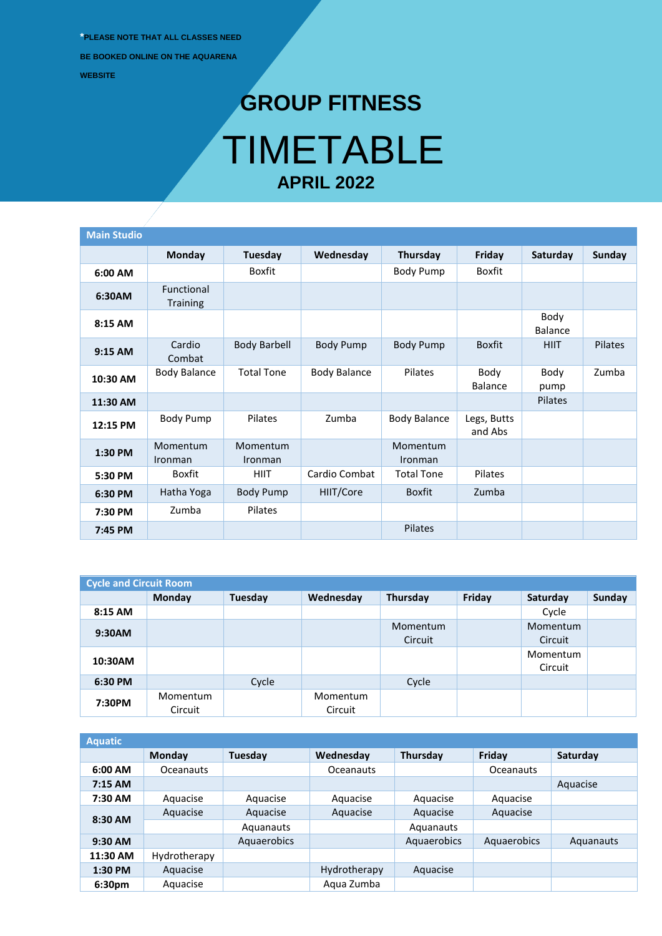**\*PLEASE NOTE THAT ALL CLASSES NEED BE BOOKED ONLINE ON THE AQUARENA WEBSITE**

## **GROUP FITNESS** TIMETABLE **APRIL 2022**

| <b>Main Studio</b> |                                      |                     |                     |                     |                        |                        |               |
|--------------------|--------------------------------------|---------------------|---------------------|---------------------|------------------------|------------------------|---------------|
|                    | Monday                               | Tuesday             | Wednesday           | Thursday            | Friday                 | Saturday               | <b>Sunday</b> |
| 6:00 AM            |                                      | <b>Boxfit</b>       |                     | <b>Body Pump</b>    | Boxfit                 |                        |               |
| 6:30AM             | <b>Functional</b><br><b>Training</b> |                     |                     |                     |                        |                        |               |
| 8:15 AM            |                                      |                     |                     |                     |                        | Body<br><b>Balance</b> |               |
| 9:15 AM            | Cardio<br>Combat                     | <b>Body Barbell</b> | <b>Body Pump</b>    | <b>Body Pump</b>    | <b>Boxfit</b>          | <b>HIIT</b>            | Pilates       |
| 10:30 AM           | <b>Body Balance</b>                  | <b>Total Tone</b>   | <b>Body Balance</b> | Pilates             | Body<br>Balance        | Body<br>pump           | Zumba         |
| 11:30 AM           |                                      |                     |                     |                     |                        | Pilates                |               |
| 12:15 PM           | <b>Body Pump</b>                     | Pilates             | Zumba               | <b>Body Balance</b> | Legs, Butts<br>and Abs |                        |               |
| 1:30 PM            | Momentum<br>Ironman                  | Momentum<br>Ironman |                     | Momentum<br>Ironman |                        |                        |               |
| 5:30 PM            | Boxfit                               | <b>HIIT</b>         | Cardio Combat       | <b>Total Tone</b>   | Pilates                |                        |               |
| 6:30 PM            | Hatha Yoga                           | <b>Body Pump</b>    | HIIT/Core           | <b>Boxfit</b>       | Zumba                  |                        |               |
| 7:30 PM            | Zumba                                | Pilates             |                     |                     |                        |                        |               |
| 7:45 PM            |                                      |                     |                     | Pilates             |                        |                        |               |

| <b>Cycle and Circuit Room</b> |               |         |           |          |        |          |        |  |  |
|-------------------------------|---------------|---------|-----------|----------|--------|----------|--------|--|--|
|                               | <b>Monday</b> | Tuesday | Wednesday | Thursday | Friday | Saturday | Sunday |  |  |
| 8:15 AM                       |               |         |           |          |        | Cycle    |        |  |  |
| 9:30AM                        |               |         |           | Momentum |        | Momentum |        |  |  |
|                               |               |         |           | Circuit  |        | Circuit  |        |  |  |
| 10:30AM                       |               |         |           |          |        | Momentum |        |  |  |
|                               |               |         |           |          |        | Circuit  |        |  |  |
| 6:30 PM                       |               | Cycle   |           | Cycle    |        |          |        |  |  |
| 7:30PM                        | Momentum      |         | Momentum  |          |        |          |        |  |  |
|                               | Circuit       |         | Circuit   |          |        |          |        |  |  |

| <b>Aquatic</b> |                  |             |                  |             |             |           |
|----------------|------------------|-------------|------------------|-------------|-------------|-----------|
|                | <b>Monday</b>    | Tuesday     | Wednesday        | Thursday    | Friday      | Saturday  |
| $6:00$ AM      | <b>Oceanauts</b> |             | <b>Oceanauts</b> |             | Oceanauts   |           |
| $7:15$ AM      |                  |             |                  |             |             | Aquacise  |
| 7:30 AM        | Aquacise         | Aquacise    | Aquacise         | Aquacise    | Aquacise    |           |
|                | Aquacise         | Aquacise    | Aquacise         | Aquacise    | Aquacise    |           |
| 8:30 AM        |                  | Aquanauts   |                  | Aquanauts   |             |           |
| $9:30$ AM      |                  | Aquaerobics |                  | Aquaerobics | Aquaerobics | Aquanauts |
| 11:30 AM       | Hydrotherapy     |             |                  |             |             |           |
| $1:30$ PM      | Aquacise         |             | Hydrotherapy     | Aquacise    |             |           |
| 6:30pm         | Aguacise         |             | Agua Zumba       |             |             |           |